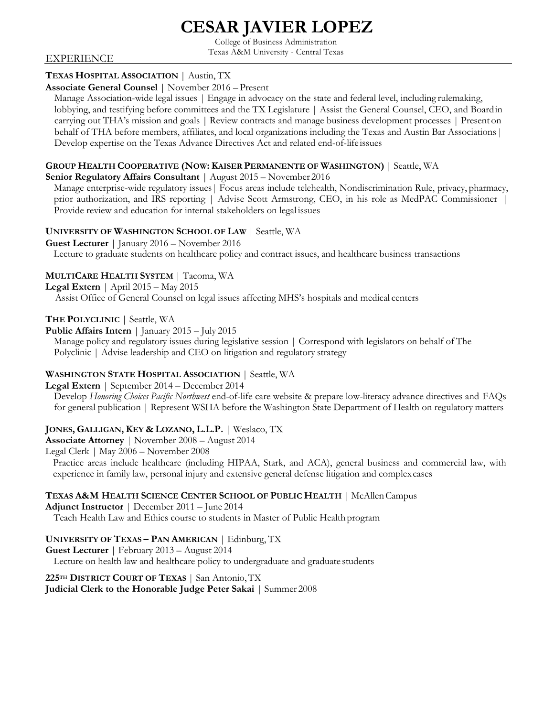# **CESAR JAVIER LOPEZ**

College of Business Administration Texas A&M University - Central Texas

#### EXPERIENCE

# **TEXAS HOSPITAL ASSOCIATION** | Austin, TX

#### **Associate General Counsel** | November 2016 – Present

Manage Association-wide legal issues | Engage in advocacy on the state and federal level, including rulemaking, lobbying, and testifying before committees and the TX Legislature | Assist the General Counsel, CEO, and Boardin carrying out THA's mission and goals | Review contracts and manage business development processes | Present on behalf of THA before members, affiliates, and local organizations including the Texas and Austin Bar Associations| Develop expertise on the Texas Advance Directives Act and related end-of-life issues

#### **GROUP HEALTH COOPERATIVE (NOW: KAISER PERMANENTE OF WASHINGTON)** | Seattle, WA

#### **Senior Regulatory Affairs Consultant** | August 2015 – November 2016

Manage enterprise-wide regulatory issues| Focus areas include telehealth, Nondiscrimination Rule, privacy, pharmacy, prior authorization, and IRS reporting | Advise Scott Armstrong, CEO, in his role as MedPAC Commissioner | Provide review and education for internal stakeholders on legal issues

# **UNIVERSITY OF WASHINGTON SCHOOL OF LAW** | Seattle, WA

**Guest Lecturer** | January 2016 – November 2016

Lecture to graduate students on healthcare policy and contract issues, and healthcare business transactions

# **MULTICARE HEALTH SYSTEM** | Tacoma, WA

**Legal Extern** | April 2015 – May 2015

Assist Office of General Counsel on legal issues affecting MHS's hospitals and medical centers

#### **THE POLYCLINIC** | Seattle, WA

**Public Affairs Intern** | January 2015 – July 2015

Manage policy and regulatory issues during legislative session | Correspond with legislators on behalf of The Polyclinic | Advise leadership and CEO on litigation and regulatory strategy

# **WASHINGTON STATE HOSPITAL ASSOCIATION** | Seattle, WA

**Legal Extern** | September 2014 – December 2014

Develop *Honoring Choices Pacific Northwest* end-of-life care website & prepare low-literacy advance directives and FAQs for general publication | Represent WSHA before the Washington State Department of Health on regulatory matters

# **JONES, GALLIGAN, KEY & LOZANO, L.L.P.** | Weslaco, TX

**Associate Attorney** | November 2008 – August 2014

Legal Clerk | May 2006 – November 2008

Practice areas include healthcare (including HIPAA, Stark, and ACA), general business and commercial law, with experience in family law, personal injury and extensive general defense litigation and complexcases

# **TEXAS A&M HEALTH SCIENCE CENTER SCHOOL OF PUBLIC HEALTH** | McAllenCampus

**Adjunct Instructor** | December 2011 – June 2014 Teach Health Law and Ethics course to students in Master of Public Health program

# **UNIVERSITY OF TEXAS – PAN AMERICAN** | Edinburg, TX

**Guest Lecturer** | February 2013 – August 2014 Lecture on health law and healthcare policy to undergraduate and graduate students

# **225TH DISTRICT COURT OF TEXAS** | San Antonio,TX

**Judicial Clerk to the Honorable Judge Peter Sakai** | Summer 2008